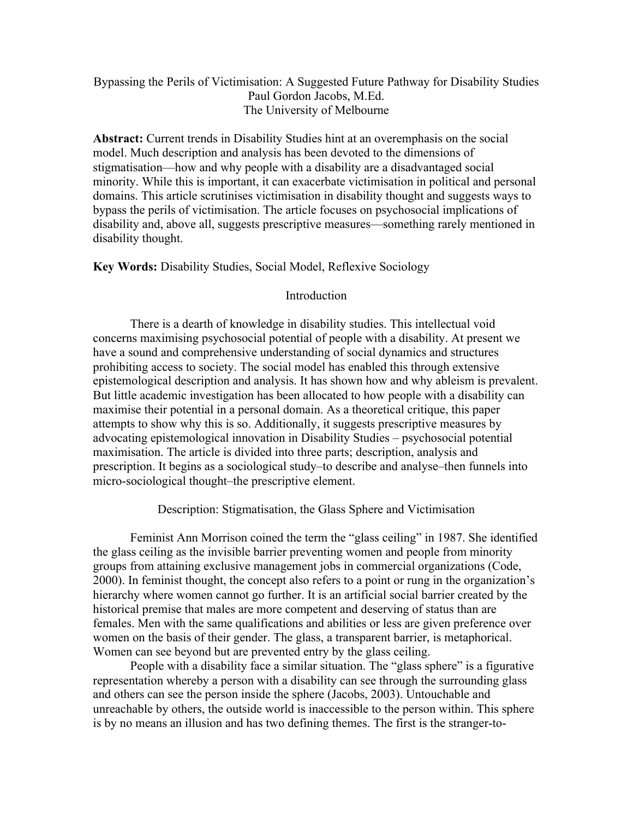# Bypassing the Perils of Victimisation: A Suggested Future Pathway for Disability Studies Paul Gordon Jacobs, M.Ed. The University of Melbourne

**Abstract:** Current trends in Disability Studies hint at an overemphasis on the social model. Much description and analysis has been devoted to the dimensions of stigmatisation––how and why people with a disability are a disadvantaged social minority. While this is important, it can exacerbate victimisation in political and personal domains. This article scrutinises victimisation in disability thought and suggests ways to bypass the perils of victimisation. The article focuses on psychosocial implications of disability and, above all, suggests prescriptive measures––something rarely mentioned in disability thought.

**Key Words:** Disability Studies, Social Model, Reflexive Sociology

## Introduction

There is a dearth of knowledge in disability studies. This intellectual void concerns maximising psychosocial potential of people with a disability. At present we have a sound and comprehensive understanding of social dynamics and structures prohibiting access to society. The social model has enabled this through extensive epistemological description and analysis. It has shown how and why ableism is prevalent. But little academic investigation has been allocated to how people with a disability can maximise their potential in a personal domain. As a theoretical critique, this paper attempts to show why this is so. Additionally, it suggests prescriptive measures by advocating epistemological innovation in Disability Studies – psychosocial potential maximisation. The article is divided into three parts; description, analysis and prescription. It begins as a sociological study–to describe and analyse–then funnels into micro-sociological thought–the prescriptive element.

Description: Stigmatisation, the Glass Sphere and Victimisation

Feminist Ann Morrison coined the term the "glass ceiling" in 1987. She identified the glass ceiling as the invisible barrier preventing women and people from minority groups from attaining exclusive management jobs in commercial organizations (Code, 2000). In feminist thought, the concept also refers to a point or rung in the organization's hierarchy where women cannot go further. It is an artificial social barrier created by the historical premise that males are more competent and deserving of status than are females. Men with the same qualifications and abilities or less are given preference over women on the basis of their gender. The glass, a transparent barrier, is metaphorical. Women can see beyond but are prevented entry by the glass ceiling.

People with a disability face a similar situation. The "glass sphere" is a figurative representation whereby a person with a disability can see through the surrounding glass and others can see the person inside the sphere (Jacobs, 2003). Untouchable and unreachable by others, the outside world is inaccessible to the person within. This sphere is by no means an illusion and has two defining themes. The first is the stranger-to-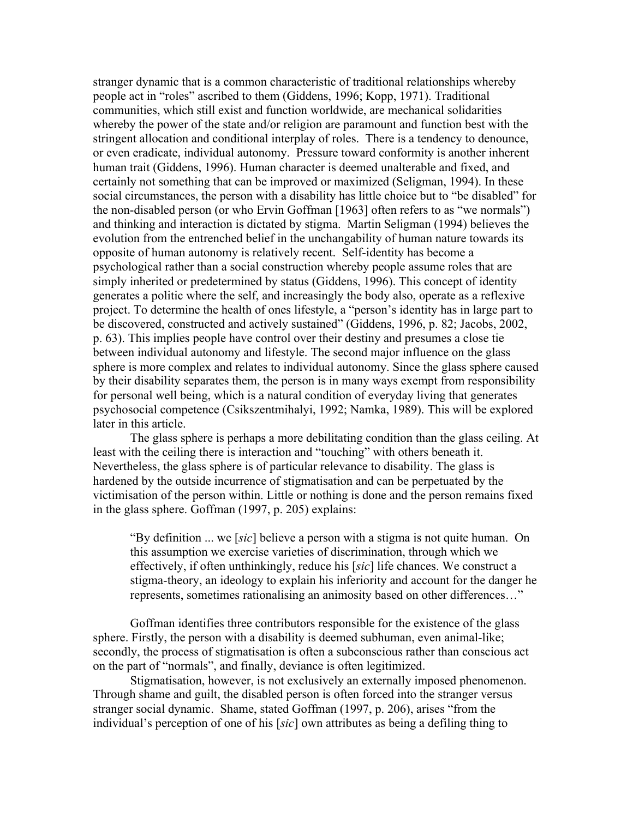stranger dynamic that is a common characteristic of traditional relationships whereby people act in "roles" ascribed to them (Giddens, 1996; Kopp, 1971). Traditional communities, which still exist and function worldwide, are mechanical solidarities whereby the power of the state and/or religion are paramount and function best with the stringent allocation and conditional interplay of roles. There is a tendency to denounce, or even eradicate, individual autonomy. Pressure toward conformity is another inherent human trait (Giddens, 1996). Human character is deemed unalterable and fixed, and certainly not something that can be improved or maximized (Seligman, 1994). In these social circumstances, the person with a disability has little choice but to "be disabled" for the non-disabled person (or who Ervin Goffman [1963] often refers to as "we normals") and thinking and interaction is dictated by stigma. Martin Seligman (1994) believes the evolution from the entrenched belief in the unchangability of human nature towards its opposite of human autonomy is relatively recent. Self-identity has become a psychological rather than a social construction whereby people assume roles that are simply inherited or predetermined by status (Giddens, 1996). This concept of identity generates a politic where the self, and increasingly the body also, operate as a reflexive project. To determine the health of ones lifestyle, a "person's identity has in large part to be discovered, constructed and actively sustained" (Giddens, 1996, p. 82; Jacobs, 2002, p. 63). This implies people have control over their destiny and presumes a close tie between individual autonomy and lifestyle. The second major influence on the glass sphere is more complex and relates to individual autonomy. Since the glass sphere caused by their disability separates them, the person is in many ways exempt from responsibility for personal well being, which is a natural condition of everyday living that generates psychosocial competence (Csikszentmihalyi, 1992; Namka, 1989). This will be explored later in this article.

The glass sphere is perhaps a more debilitating condition than the glass ceiling. At least with the ceiling there is interaction and "touching" with others beneath it. Nevertheless, the glass sphere is of particular relevance to disability. The glass is hardened by the outside incurrence of stigmatisation and can be perpetuated by the victimisation of the person within. Little or nothing is done and the person remains fixed in the glass sphere. Goffman (1997, p. 205) explains:

"By definition ... we [*sic*] believe a person with a stigma is not quite human. On this assumption we exercise varieties of discrimination, through which we effectively, if often unthinkingly, reduce his [*sic*] life chances. We construct a stigma-theory, an ideology to explain his inferiority and account for the danger he represents, sometimes rationalising an animosity based on other differences…"

Goffman identifies three contributors responsible for the existence of the glass sphere. Firstly, the person with a disability is deemed subhuman, even animal-like; secondly, the process of stigmatisation is often a subconscious rather than conscious act on the part of "normals", and finally, deviance is often legitimized.

Stigmatisation, however, is not exclusively an externally imposed phenomenon. Through shame and guilt, the disabled person is often forced into the stranger versus stranger social dynamic. Shame, stated Goffman (1997, p. 206), arises "from the individual's perception of one of his [*sic*] own attributes as being a defiling thing to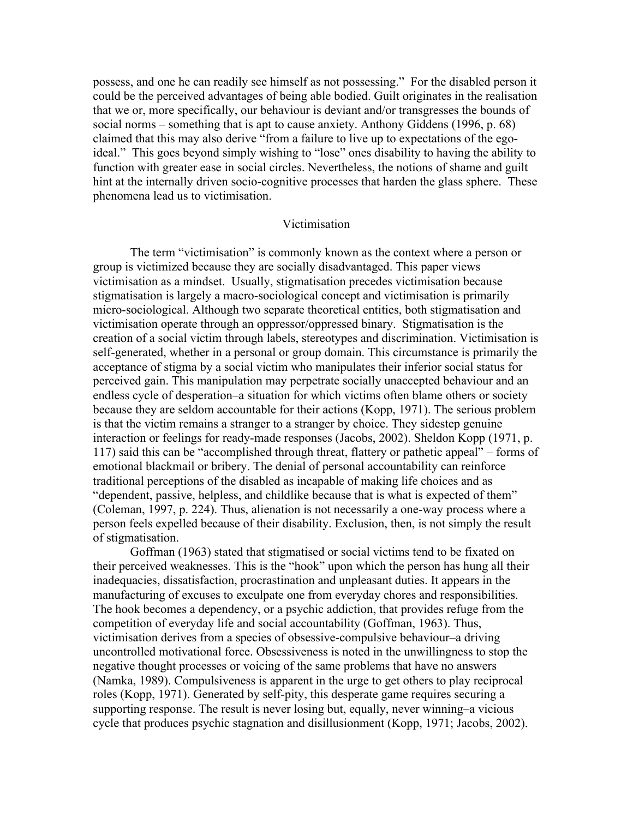possess, and one he can readily see himself as not possessing." For the disabled person it could be the perceived advantages of being able bodied. Guilt originates in the realisation that we or, more specifically, our behaviour is deviant and/or transgresses the bounds of social norms – something that is apt to cause anxiety. Anthony Giddens (1996, p. 68) claimed that this may also derive "from a failure to live up to expectations of the egoideal." This goes beyond simply wishing to "lose" ones disability to having the ability to function with greater ease in social circles. Nevertheless, the notions of shame and guilt hint at the internally driven socio-cognitive processes that harden the glass sphere. These phenomena lead us to victimisation.

### Victimisation

The term "victimisation" is commonly known as the context where a person or group is victimized because they are socially disadvantaged. This paper views victimisation as a mindset. Usually, stigmatisation precedes victimisation because stigmatisation is largely a macro-sociological concept and victimisation is primarily micro-sociological. Although two separate theoretical entities, both stigmatisation and victimisation operate through an oppressor/oppressed binary. Stigmatisation is the creation of a social victim through labels, stereotypes and discrimination. Victimisation is self-generated, whether in a personal or group domain. This circumstance is primarily the acceptance of stigma by a social victim who manipulates their inferior social status for perceived gain. This manipulation may perpetrate socially unaccepted behaviour and an endless cycle of desperation–a situation for which victims often blame others or society because they are seldom accountable for their actions (Kopp, 1971). The serious problem is that the victim remains a stranger to a stranger by choice. They sidestep genuine interaction or feelings for ready-made responses (Jacobs, 2002). Sheldon Kopp (1971, p. 117) said this can be "accomplished through threat, flattery or pathetic appeal" – forms of emotional blackmail or bribery. The denial of personal accountability can reinforce traditional perceptions of the disabled as incapable of making life choices and as "dependent, passive, helpless, and childlike because that is what is expected of them" (Coleman, 1997, p. 224). Thus, alienation is not necessarily a one-way process where a person feels expelled because of their disability. Exclusion, then, is not simply the result of stigmatisation.

Goffman (1963) stated that stigmatised or social victims tend to be fixated on their perceived weaknesses. This is the "hook" upon which the person has hung all their inadequacies, dissatisfaction, procrastination and unpleasant duties. It appears in the manufacturing of excuses to exculpate one from everyday chores and responsibilities. The hook becomes a dependency, or a psychic addiction, that provides refuge from the competition of everyday life and social accountability (Goffman, 1963). Thus, victimisation derives from a species of obsessive-compulsive behaviour–a driving uncontrolled motivational force. Obsessiveness is noted in the unwillingness to stop the negative thought processes or voicing of the same problems that have no answers (Namka, 1989). Compulsiveness is apparent in the urge to get others to play reciprocal roles (Kopp, 1971). Generated by self-pity, this desperate game requires securing a supporting response. The result is never losing but, equally, never winning–a vicious cycle that produces psychic stagnation and disillusionment (Kopp, 1971; Jacobs, 2002).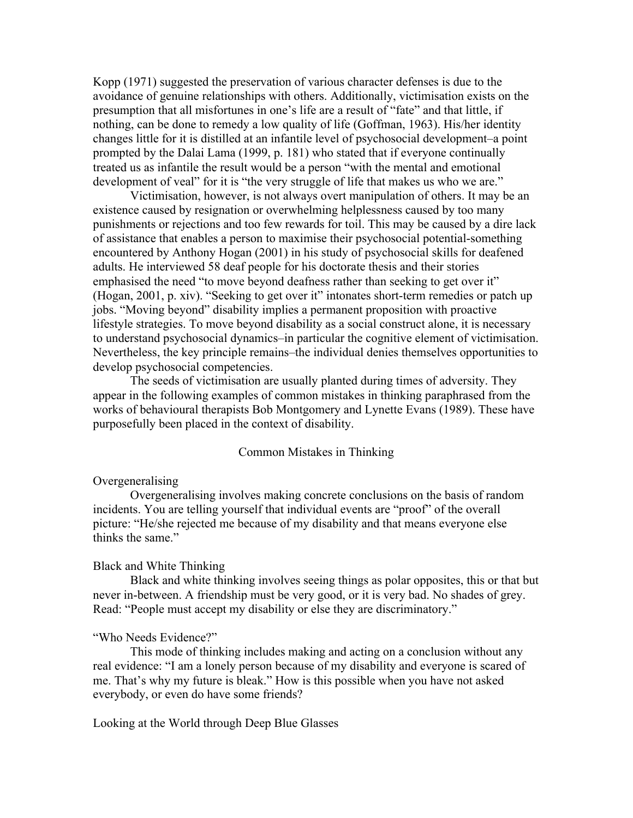Kopp (1971) suggested the preservation of various character defenses is due to the avoidance of genuine relationships with others. Additionally, victimisation exists on the presumption that all misfortunes in one's life are a result of "fate" and that little, if nothing, can be done to remedy a low quality of life (Goffman, 1963). His/her identity changes little for it is distilled at an infantile level of psychosocial development–a point prompted by the Dalai Lama (1999, p. 181) who stated that if everyone continually treated us as infantile the result would be a person "with the mental and emotional development of veal" for it is "the very struggle of life that makes us who we are."

Victimisation, however, is not always overt manipulation of others. It may be an existence caused by resignation or overwhelming helplessness caused by too many punishments or rejections and too few rewards for toil. This may be caused by a dire lack of assistance that enables a person to maximise their psychosocial potential-something encountered by Anthony Hogan (2001) in his study of psychosocial skills for deafened adults. He interviewed 58 deaf people for his doctorate thesis and their stories emphasised the need "to move beyond deafness rather than seeking to get over it" (Hogan, 2001, p. xiv). "Seeking to get over it" intonates short-term remedies or patch up jobs. "Moving beyond" disability implies a permanent proposition with proactive lifestyle strategies. To move beyond disability as a social construct alone, it is necessary to understand psychosocial dynamics–in particular the cognitive element of victimisation. Nevertheless, the key principle remains–the individual denies themselves opportunities to develop psychosocial competencies.

The seeds of victimisation are usually planted during times of adversity. They appear in the following examples of common mistakes in thinking paraphrased from the works of behavioural therapists Bob Montgomery and Lynette Evans (1989). These have purposefully been placed in the context of disability.

#### Common Mistakes in Thinking

#### **Overgeneralising**

Overgeneralising involves making concrete conclusions on the basis of random incidents. You are telling yourself that individual events are "proof" of the overall picture: "He/she rejected me because of my disability and that means everyone else thinks the same."

#### Black and White Thinking

Black and white thinking involves seeing things as polar opposites, this or that but never in-between. A friendship must be very good, or it is very bad. No shades of grey. Read: "People must accept my disability or else they are discriminatory."

### "Who Needs Evidence?"

This mode of thinking includes making and acting on a conclusion without any real evidence: "I am a lonely person because of my disability and everyone is scared of me. That's why my future is bleak." How is this possible when you have not asked everybody, or even do have some friends?

Looking at the World through Deep Blue Glasses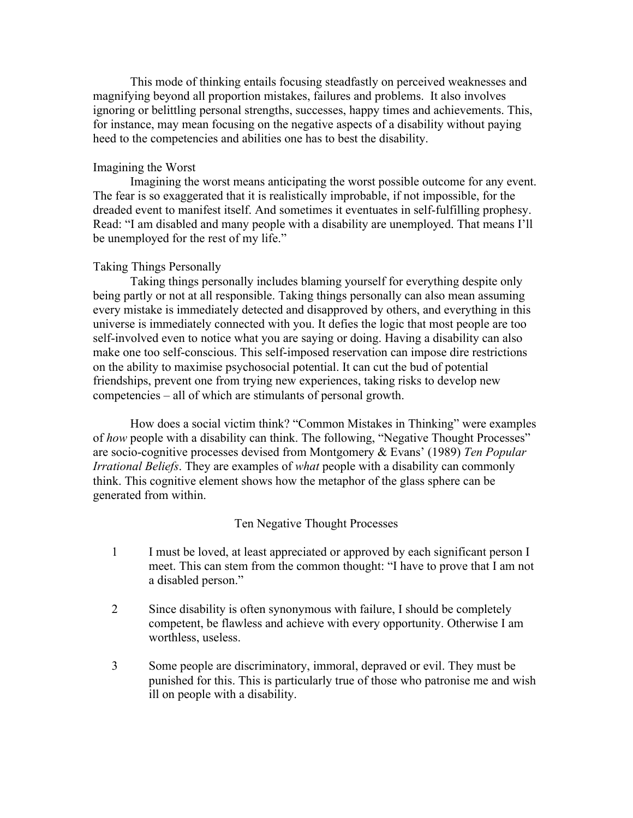This mode of thinking entails focusing steadfastly on perceived weaknesses and magnifying beyond all proportion mistakes, failures and problems. It also involves ignoring or belittling personal strengths, successes, happy times and achievements. This, for instance, may mean focusing on the negative aspects of a disability without paying heed to the competencies and abilities one has to best the disability.

### Imagining the Worst

Imagining the worst means anticipating the worst possible outcome for any event. The fear is so exaggerated that it is realistically improbable, if not impossible, for the dreaded event to manifest itself. And sometimes it eventuates in self-fulfilling prophesy. Read: "I am disabled and many people with a disability are unemployed. That means I'll be unemployed for the rest of my life."

### Taking Things Personally

Taking things personally includes blaming yourself for everything despite only being partly or not at all responsible. Taking things personally can also mean assuming every mistake is immediately detected and disapproved by others, and everything in this universe is immediately connected with you. It defies the logic that most people are too self-involved even to notice what you are saying or doing. Having a disability can also make one too self-conscious. This self-imposed reservation can impose dire restrictions on the ability to maximise psychosocial potential. It can cut the bud of potential friendships, prevent one from trying new experiences, taking risks to develop new competencies – all of which are stimulants of personal growth.

How does a social victim think? "Common Mistakes in Thinking" were examples of *how* people with a disability can think. The following, "Negative Thought Processes" are socio-cognitive processes devised from Montgomery & Evans' (1989) *Ten Popular Irrational Beliefs*. They are examples of *what* people with a disability can commonly think. This cognitive element shows how the metaphor of the glass sphere can be generated from within.

### Ten Negative Thought Processes

- 1 I must be loved, at least appreciated or approved by each significant person I meet. This can stem from the common thought: "I have to prove that I am not a disabled person."
- 2 Since disability is often synonymous with failure, I should be completely competent, be flawless and achieve with every opportunity. Otherwise I am worthless, useless.
- 3 Some people are discriminatory, immoral, depraved or evil. They must be punished for this. This is particularly true of those who patronise me and wish ill on people with a disability.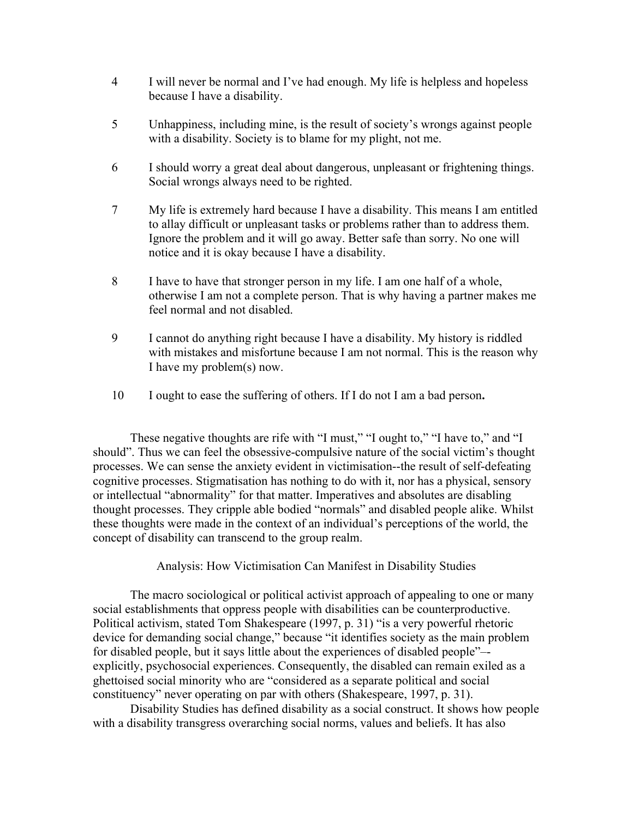- 4 I will never be normal and I've had enough. My life is helpless and hopeless because I have a disability.
- 5 Unhappiness, including mine, is the result of society's wrongs against people with a disability. Society is to blame for my plight, not me.
- 6 I should worry a great deal about dangerous, unpleasant or frightening things. Social wrongs always need to be righted.
- 7 My life is extremely hard because I have a disability. This means I am entitled to allay difficult or unpleasant tasks or problems rather than to address them. Ignore the problem and it will go away. Better safe than sorry. No one will notice and it is okay because I have a disability.
- 8 I have to have that stronger person in my life. I am one half of a whole, otherwise I am not a complete person. That is why having a partner makes me feel normal and not disabled.
- 9 I cannot do anything right because I have a disability. My history is riddled with mistakes and misfortune because I am not normal. This is the reason why I have my problem(s) now.
- 10 I ought to ease the suffering of others. If I do not I am a bad person**.**

These negative thoughts are rife with "I must," "I ought to," "I have to," and "I should". Thus we can feel the obsessive-compulsive nature of the social victim's thought processes. We can sense the anxiety evident in victimisation--the result of self-defeating cognitive processes. Stigmatisation has nothing to do with it, nor has a physical, sensory or intellectual "abnormality" for that matter. Imperatives and absolutes are disabling thought processes. They cripple able bodied "normals" and disabled people alike. Whilst these thoughts were made in the context of an individual's perceptions of the world, the concept of disability can transcend to the group realm.

Analysis: How Victimisation Can Manifest in Disability Studies

The macro sociological or political activist approach of appealing to one or many social establishments that oppress people with disabilities can be counterproductive. Political activism, stated Tom Shakespeare (1997, p. 31) "is a very powerful rhetoric device for demanding social change," because "it identifies society as the main problem for disabled people, but it says little about the experiences of disabled people"– explicitly, psychosocial experiences. Consequently, the disabled can remain exiled as a ghettoised social minority who are "considered as a separate political and social constituency" never operating on par with others (Shakespeare, 1997, p. 31).

Disability Studies has defined disability as a social construct. It shows how people with a disability transgress overarching social norms, values and beliefs. It has also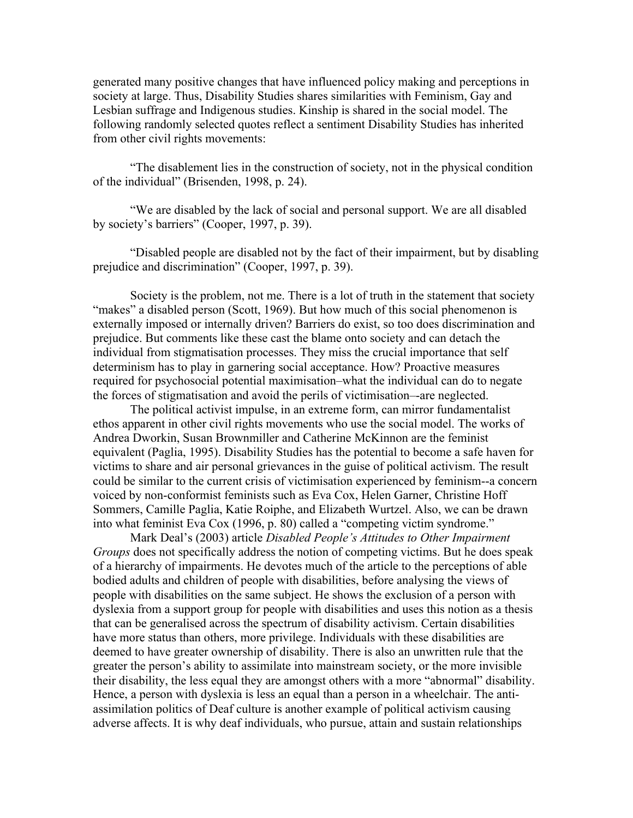generated many positive changes that have influenced policy making and perceptions in society at large. Thus, Disability Studies shares similarities with Feminism, Gay and Lesbian suffrage and Indigenous studies. Kinship is shared in the social model. The following randomly selected quotes reflect a sentiment Disability Studies has inherited from other civil rights movements:

"The disablement lies in the construction of society, not in the physical condition of the individual" (Brisenden, 1998, p. 24).

"We are disabled by the lack of social and personal support. We are all disabled by society's barriers" (Cooper, 1997, p. 39).

"Disabled people are disabled not by the fact of their impairment, but by disabling prejudice and discrimination" (Cooper, 1997, p. 39).

Society is the problem, not me. There is a lot of truth in the statement that society "makes" a disabled person (Scott, 1969). But how much of this social phenomenon is externally imposed or internally driven? Barriers do exist, so too does discrimination and prejudice. But comments like these cast the blame onto society and can detach the individual from stigmatisation processes. They miss the crucial importance that self determinism has to play in garnering social acceptance. How? Proactive measures required for psychosocial potential maximisation–what the individual can do to negate the forces of stigmatisation and avoid the perils of victimisation–-are neglected.

The political activist impulse, in an extreme form, can mirror fundamentalist ethos apparent in other civil rights movements who use the social model. The works of Andrea Dworkin, Susan Brownmiller and Catherine McKinnon are the feminist equivalent (Paglia, 1995). Disability Studies has the potential to become a safe haven for victims to share and air personal grievances in the guise of political activism. The result could be similar to the current crisis of victimisation experienced by feminism--a concern voiced by non-conformist feminists such as Eva Cox, Helen Garner, Christine Hoff Sommers, Camille Paglia, Katie Roiphe, and Elizabeth Wurtzel. Also, we can be drawn into what feminist Eva Cox (1996, p. 80) called a "competing victim syndrome."

Mark Deal's (2003) article *Disabled People's Attitudes to Other Impairment Groups* does not specifically address the notion of competing victims. But he does speak of a hierarchy of impairments. He devotes much of the article to the perceptions of able bodied adults and children of people with disabilities, before analysing the views of people with disabilities on the same subject. He shows the exclusion of a person with dyslexia from a support group for people with disabilities and uses this notion as a thesis that can be generalised across the spectrum of disability activism. Certain disabilities have more status than others, more privilege. Individuals with these disabilities are deemed to have greater ownership of disability. There is also an unwritten rule that the greater the person's ability to assimilate into mainstream society, or the more invisible their disability, the less equal they are amongst others with a more "abnormal" disability. Hence, a person with dyslexia is less an equal than a person in a wheelchair. The antiassimilation politics of Deaf culture is another example of political activism causing adverse affects. It is why deaf individuals, who pursue, attain and sustain relationships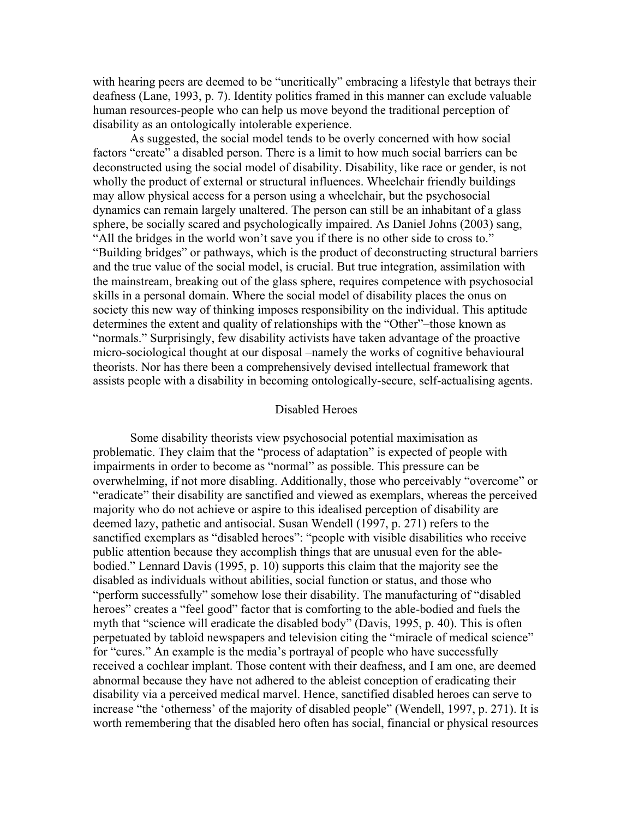with hearing peers are deemed to be "uncritically" embracing a lifestyle that betrays their deafness (Lane, 1993, p. 7). Identity politics framed in this manner can exclude valuable human resources-people who can help us move beyond the traditional perception of disability as an ontologically intolerable experience.

As suggested, the social model tends to be overly concerned with how social factors "create" a disabled person. There is a limit to how much social barriers can be deconstructed using the social model of disability. Disability, like race or gender, is not wholly the product of external or structural influences. Wheelchair friendly buildings may allow physical access for a person using a wheelchair, but the psychosocial dynamics can remain largely unaltered. The person can still be an inhabitant of a glass sphere, be socially scared and psychologically impaired. As Daniel Johns (2003) sang, "All the bridges in the world won't save you if there is no other side to cross to." "Building bridges" or pathways, which is the product of deconstructing structural barriers and the true value of the social model, is crucial. But true integration, assimilation with the mainstream, breaking out of the glass sphere, requires competence with psychosocial skills in a personal domain. Where the social model of disability places the onus on society this new way of thinking imposes responsibility on the individual. This aptitude determines the extent and quality of relationships with the "Other"–those known as "normals." Surprisingly, few disability activists have taken advantage of the proactive micro-sociological thought at our disposal –namely the works of cognitive behavioural theorists. Nor has there been a comprehensively devised intellectual framework that assists people with a disability in becoming ontologically-secure, self-actualising agents.

#### Disabled Heroes

Some disability theorists view psychosocial potential maximisation as problematic. They claim that the "process of adaptation" is expected of people with impairments in order to become as "normal" as possible. This pressure can be overwhelming, if not more disabling. Additionally, those who perceivably "overcome" or "eradicate" their disability are sanctified and viewed as exemplars, whereas the perceived majority who do not achieve or aspire to this idealised perception of disability are deemed lazy, pathetic and antisocial. Susan Wendell (1997, p. 271) refers to the sanctified exemplars as "disabled heroes": "people with visible disabilities who receive public attention because they accomplish things that are unusual even for the ablebodied." Lennard Davis (1995, p. 10) supports this claim that the majority see the disabled as individuals without abilities, social function or status, and those who "perform successfully" somehow lose their disability. The manufacturing of "disabled heroes" creates a "feel good" factor that is comforting to the able-bodied and fuels the myth that "science will eradicate the disabled body" (Davis, 1995, p. 40). This is often perpetuated by tabloid newspapers and television citing the "miracle of medical science" for "cures." An example is the media's portrayal of people who have successfully received a cochlear implant. Those content with their deafness, and I am one, are deemed abnormal because they have not adhered to the ableist conception of eradicating their disability via a perceived medical marvel. Hence, sanctified disabled heroes can serve to increase "the 'otherness' of the majority of disabled people" (Wendell, 1997, p. 271). It is worth remembering that the disabled hero often has social, financial or physical resources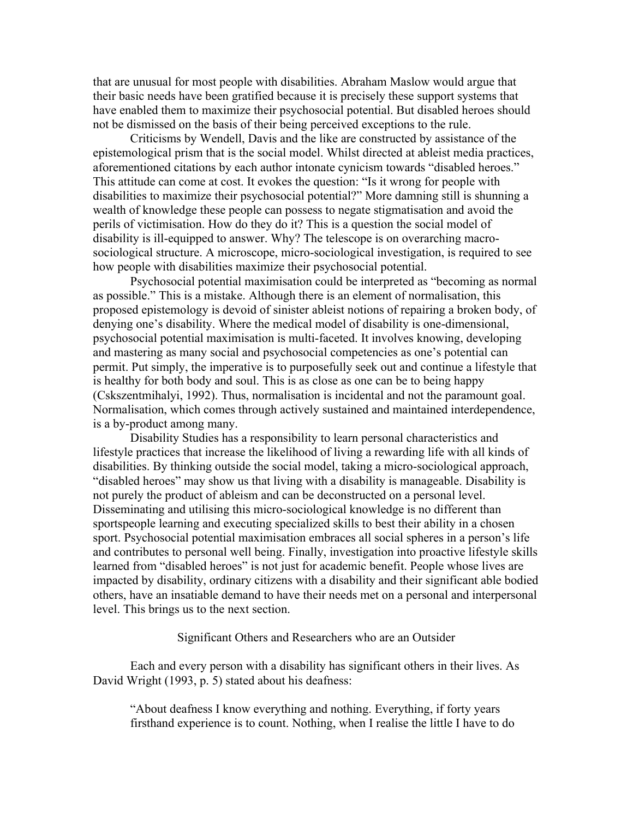that are unusual for most people with disabilities. Abraham Maslow would argue that their basic needs have been gratified because it is precisely these support systems that have enabled them to maximize their psychosocial potential. But disabled heroes should not be dismissed on the basis of their being perceived exceptions to the rule.

Criticisms by Wendell, Davis and the like are constructed by assistance of the epistemological prism that is the social model. Whilst directed at ableist media practices, aforementioned citations by each author intonate cynicism towards "disabled heroes." This attitude can come at cost. It evokes the question: "Is it wrong for people with disabilities to maximize their psychosocial potential?" More damning still is shunning a wealth of knowledge these people can possess to negate stigmatisation and avoid the perils of victimisation. How do they do it? This is a question the social model of disability is ill-equipped to answer. Why? The telescope is on overarching macrosociological structure. A microscope, micro-sociological investigation, is required to see how people with disabilities maximize their psychosocial potential.

Psychosocial potential maximisation could be interpreted as "becoming as normal as possible." This is a mistake. Although there is an element of normalisation, this proposed epistemology is devoid of sinister ableist notions of repairing a broken body, of denying one's disability. Where the medical model of disability is one-dimensional, psychosocial potential maximisation is multi-faceted. It involves knowing, developing and mastering as many social and psychosocial competencies as one's potential can permit. Put simply, the imperative is to purposefully seek out and continue a lifestyle that is healthy for both body and soul. This is as close as one can be to being happy (Cskszentmihalyi, 1992). Thus, normalisation is incidental and not the paramount goal. Normalisation, which comes through actively sustained and maintained interdependence, is a by-product among many.

Disability Studies has a responsibility to learn personal characteristics and lifestyle practices that increase the likelihood of living a rewarding life with all kinds of disabilities. By thinking outside the social model, taking a micro-sociological approach, "disabled heroes" may show us that living with a disability is manageable. Disability is not purely the product of ableism and can be deconstructed on a personal level. Disseminating and utilising this micro-sociological knowledge is no different than sportspeople learning and executing specialized skills to best their ability in a chosen sport. Psychosocial potential maximisation embraces all social spheres in a person's life and contributes to personal well being. Finally, investigation into proactive lifestyle skills learned from "disabled heroes" is not just for academic benefit. People whose lives are impacted by disability, ordinary citizens with a disability and their significant able bodied others, have an insatiable demand to have their needs met on a personal and interpersonal level. This brings us to the next section.

### Significant Others and Researchers who are an Outsider

Each and every person with a disability has significant others in their lives. As David Wright (1993, p. 5) stated about his deafness:

"About deafness I know everything and nothing. Everything, if forty years firsthand experience is to count. Nothing, when I realise the little I have to do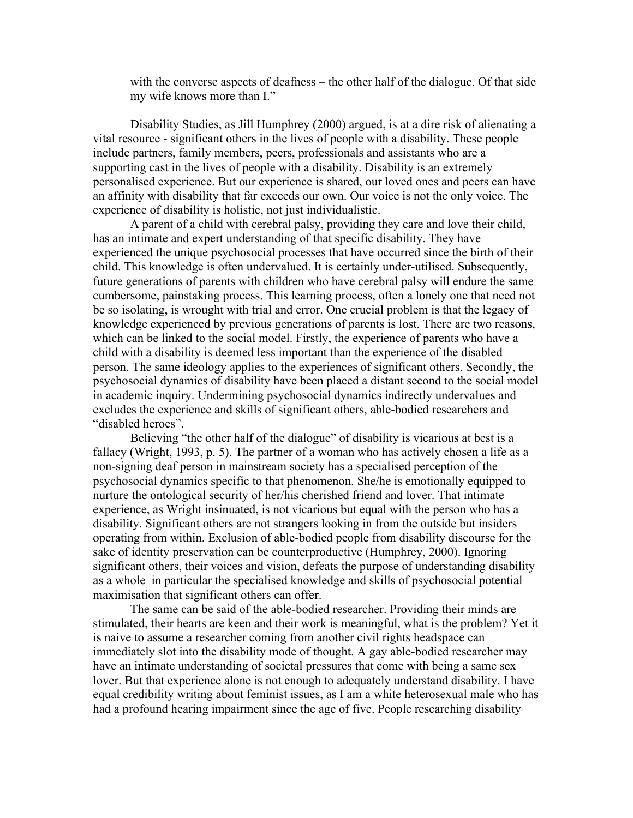with the converse aspects of deafness – the other half of the dialogue. Of that side my wife knows more than I."

Disability Studies, as Jill Humphrey (2000) argued, is at a dire risk of alienating a vital resource - significant others in the lives of people with a disability. These people include partners, family members, peers, professionals and assistants who are a supporting cast in the lives of people with a disability. Disability is an extremely personalised experience. But our experience is shared, our loved ones and peers can have an affinity with disability that far exceeds our own. Our voice is not the only voice. The experience of disability is holistic, not just individualistic.

A parent of a child with cerebral palsy, providing they care and love their child, has an intimate and expert understanding of that specific disability. They have experienced the unique psychosocial processes that have occurred since the birth of their child. This knowledge is often undervalued. It is certainly under-utilised. Subsequently, future generations of parents with children who have cerebral palsy will endure the same cumbersome, painstaking process. This learning process, often a lonely one that need not be so isolating, is wrought with trial and error. One crucial problem is that the legacy of knowledge experienced by previous generations of parents is lost. There are two reasons, which can be linked to the social model. Firstly, the experience of parents who have a child with a disability is deemed less important than the experience of the disabled person. The same ideology applies to the experiences of significant others. Secondly, the psychosocial dynamics of disability have been placed a distant second to the social model in academic inquiry. Undermining psychosocial dynamics indirectly undervalues and excludes the experience and skills of significant others, able-bodied researchers and "disabled heroes".

Believing "the other half of the dialogue" of disability is vicarious at best is a fallacy (Wright, 1993, p. 5). The partner of a woman who has actively chosen a life as a non-signing deaf person in mainstream society has a specialised perception of the psychosocial dynamics specific to that phenomenon. She/he is emotionally equipped to nurture the ontological security of her/his cherished friend and lover. That intimate experience, as Wright insinuated, is not vicarious but equal with the person who has a disability. Significant others are not strangers looking in from the outside but insiders operating from within. Exclusion of able-bodied people from disability discourse for the sake of identity preservation can be counterproductive (Humphrey, 2000). Ignoring significant others, their voices and vision, defeats the purpose of understanding disability as a whole–in particular the specialised knowledge and skills of psychosocial potential maximisation that significant others can offer.

The same can be said of the able-bodied researcher. Providing their minds are stimulated, their hearts are keen and their work is meaningful, what is the problem? Yet it is naive to assume a researcher coming from another civil rights headspace can immediately slot into the disability mode of thought. A gay able-bodied researcher may have an intimate understanding of societal pressures that come with being a same sex lover. But that experience alone is not enough to adequately understand disability. I have equal credibility writing about feminist issues, as I am a white heterosexual male who has had a profound hearing impairment since the age of five. People researching disability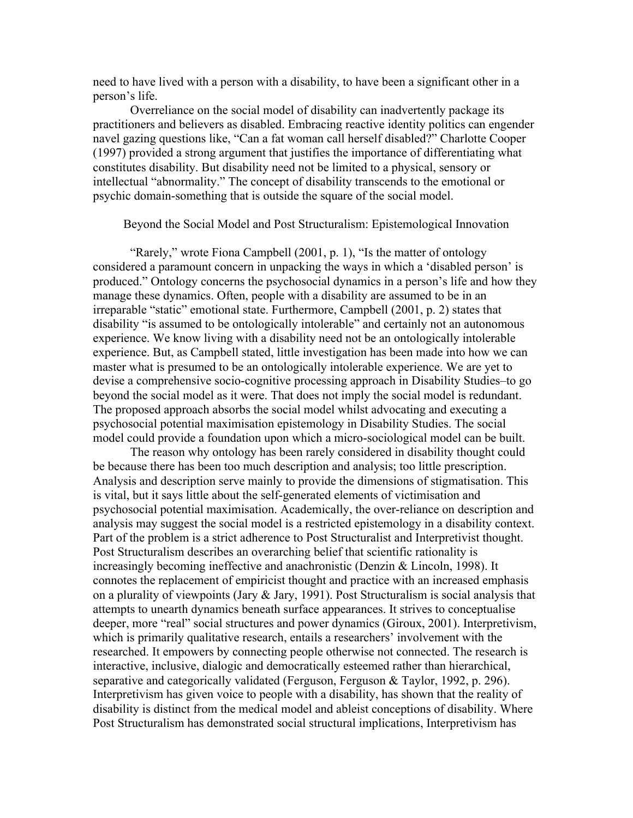need to have lived with a person with a disability, to have been a significant other in a person's life.

Overreliance on the social model of disability can inadvertently package its practitioners and believers as disabled. Embracing reactive identity politics can engender navel gazing questions like, "Can a fat woman call herself disabled?" Charlotte Cooper (1997) provided a strong argument that justifies the importance of differentiating what constitutes disability. But disability need not be limited to a physical, sensory or intellectual "abnormality." The concept of disability transcends to the emotional or psychic domain-something that is outside the square of the social model.

Beyond the Social Model and Post Structuralism: Epistemological Innovation

"Rarely," wrote Fiona Campbell (2001, p. 1), "Is the matter of ontology considered a paramount concern in unpacking the ways in which a 'disabled person' is produced." Ontology concerns the psychosocial dynamics in a person's life and how they manage these dynamics. Often, people with a disability are assumed to be in an irreparable "static" emotional state. Furthermore, Campbell (2001, p. 2) states that disability "is assumed to be ontologically intolerable" and certainly not an autonomous experience. We know living with a disability need not be an ontologically intolerable experience. But, as Campbell stated, little investigation has been made into how we can master what is presumed to be an ontologically intolerable experience. We are yet to devise a comprehensive socio-cognitive processing approach in Disability Studies–to go beyond the social model as it were. That does not imply the social model is redundant. The proposed approach absorbs the social model whilst advocating and executing a psychosocial potential maximisation epistemology in Disability Studies. The social model could provide a foundation upon which a micro-sociological model can be built.

The reason why ontology has been rarely considered in disability thought could be because there has been too much description and analysis; too little prescription. Analysis and description serve mainly to provide the dimensions of stigmatisation. This is vital, but it says little about the self-generated elements of victimisation and psychosocial potential maximisation. Academically, the over-reliance on description and analysis may suggest the social model is a restricted epistemology in a disability context. Part of the problem is a strict adherence to Post Structuralist and Interpretivist thought. Post Structuralism describes an overarching belief that scientific rationality is increasingly becoming ineffective and anachronistic (Denzin & Lincoln, 1998). It connotes the replacement of empiricist thought and practice with an increased emphasis on a plurality of viewpoints (Jary & Jary, 1991). Post Structuralism is social analysis that attempts to unearth dynamics beneath surface appearances. It strives to conceptualise deeper, more "real" social structures and power dynamics (Giroux, 2001). Interpretivism, which is primarily qualitative research, entails a researchers' involvement with the researched. It empowers by connecting people otherwise not connected. The research is interactive, inclusive, dialogic and democratically esteemed rather than hierarchical, separative and categorically validated (Ferguson, Ferguson & Taylor, 1992, p. 296). Interpretivism has given voice to people with a disability, has shown that the reality of disability is distinct from the medical model and ableist conceptions of disability. Where Post Structuralism has demonstrated social structural implications, Interpretivism has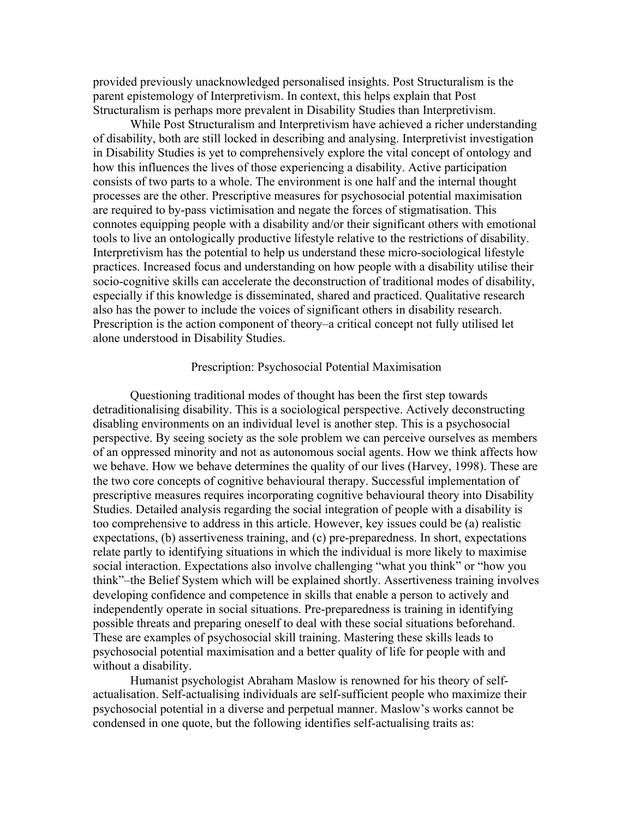provided previously unacknowledged personalised insights. Post Structuralism is the parent epistemology of Interpretivism. In context, this helps explain that Post Structuralism is perhaps more prevalent in Disability Studies than Interpretivism.

While Post Structuralism and Interpretivism have achieved a richer understanding of disability, both are still locked in describing and analysing. Interpretivist investigation in Disability Studies is yet to comprehensively explore the vital concept of ontology and how this influences the lives of those experiencing a disability. Active participation consists of two parts to a whole. The environment is one half and the internal thought processes are the other. Prescriptive measures for psychosocial potential maximisation are required to by-pass victimisation and negate the forces of stigmatisation. This connotes equipping people with a disability and/or their significant others with emotional tools to live an ontologically productive lifestyle relative to the restrictions of disability. Interpretivism has the potential to help us understand these micro-sociological lifestyle practices. Increased focus and understanding on how people with a disability utilise their socio-cognitive skills can accelerate the deconstruction of traditional modes of disability, especially if this knowledge is disseminated, shared and practiced. Qualitative research also has the power to include the voices of significant others in disability research. Prescription is the action component of theory–a critical concept not fully utilised let alone understood in Disability Studies.

# Prescription: Psychosocial Potential Maximisation

Questioning traditional modes of thought has been the first step towards detraditionalising disability. This is a sociological perspective. Actively deconstructing disabling environments on an individual level is another step. This is a psychosocial perspective. By seeing society as the sole problem we can perceive ourselves as members of an oppressed minority and not as autonomous social agents. How we think affects how we behave. How we behave determines the quality of our lives (Harvey, 1998). These are the two core concepts of cognitive behavioural therapy. Successful implementation of prescriptive measures requires incorporating cognitive behavioural theory into Disability Studies. Detailed analysis regarding the social integration of people with a disability is too comprehensive to address in this article. However, key issues could be (a) realistic expectations, (b) assertiveness training, and (c) pre-preparedness. In short, expectations relate partly to identifying situations in which the individual is more likely to maximise social interaction. Expectations also involve challenging "what you think" or "how you think"–the Belief System which will be explained shortly. Assertiveness training involves developing confidence and competence in skills that enable a person to actively and independently operate in social situations. Pre-preparedness is training in identifying possible threats and preparing oneself to deal with these social situations beforehand. These are examples of psychosocial skill training. Mastering these skills leads to psychosocial potential maximisation and a better quality of life for people with and without a disability.

Humanist psychologist Abraham Maslow is renowned for his theory of selfactualisation. Self-actualising individuals are self-sufficient people who maximize their psychosocial potential in a diverse and perpetual manner. Maslow's works cannot be condensed in one quote, but the following identifies self-actualising traits as: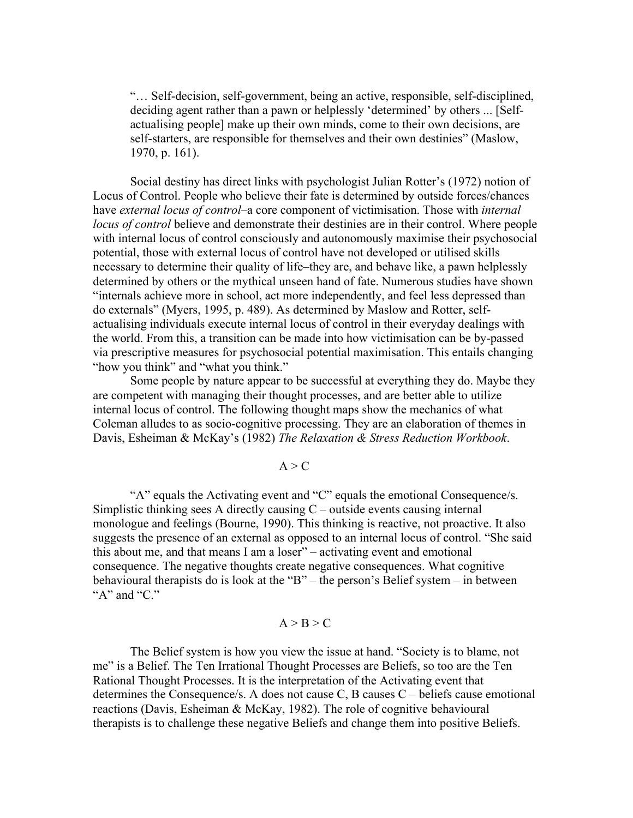"… Self-decision, self-government, being an active, responsible, self-disciplined, deciding agent rather than a pawn or helplessly 'determined' by others ... [Selfactualising people] make up their own minds, come to their own decisions, are self-starters, are responsible for themselves and their own destinies" (Maslow, 1970, p. 161).

Social destiny has direct links with psychologist Julian Rotter's (1972) notion of Locus of Control. People who believe their fate is determined by outside forces/chances have *external locus of control*–a core component of victimisation. Those with *internal locus of control* believe and demonstrate their destinies are in their control. Where people with internal locus of control consciously and autonomously maximise their psychosocial potential, those with external locus of control have not developed or utilised skills necessary to determine their quality of life–they are, and behave like, a pawn helplessly determined by others or the mythical unseen hand of fate. Numerous studies have shown "internals achieve more in school, act more independently, and feel less depressed than do externals" (Myers, 1995, p. 489). As determined by Maslow and Rotter, selfactualising individuals execute internal locus of control in their everyday dealings with the world. From this, a transition can be made into how victimisation can be by-passed via prescriptive measures for psychosocial potential maximisation. This entails changing "how you think" and "what you think."

Some people by nature appear to be successful at everything they do. Maybe they are competent with managing their thought processes, and are better able to utilize internal locus of control. The following thought maps show the mechanics of what Coleman alludes to as socio-cognitive processing. They are an elaboration of themes in Davis, Esheiman & McKay's (1982) *The Relaxation & Stress Reduction Workbook*.

### $A > C$

"A" equals the Activating event and "C" equals the emotional Consequence/s. Simplistic thinking sees A directly causing  $C$  – outside events causing internal monologue and feelings (Bourne, 1990). This thinking is reactive, not proactive. It also suggests the presence of an external as opposed to an internal locus of control. "She said this about me, and that means I am a loser" – activating event and emotional consequence. The negative thoughts create negative consequences. What cognitive behavioural therapists do is look at the "B" – the person's Belief system – in between " $A$ " and " $C$ ."

## $A > B > C$

The Belief system is how you view the issue at hand. "Society is to blame, not me" is a Belief. The Ten Irrational Thought Processes are Beliefs, so too are the Ten Rational Thought Processes. It is the interpretation of the Activating event that determines the Consequence/s. A does not cause C, B causes C – beliefs cause emotional reactions (Davis, Esheiman & McKay, 1982). The role of cognitive behavioural therapists is to challenge these negative Beliefs and change them into positive Beliefs.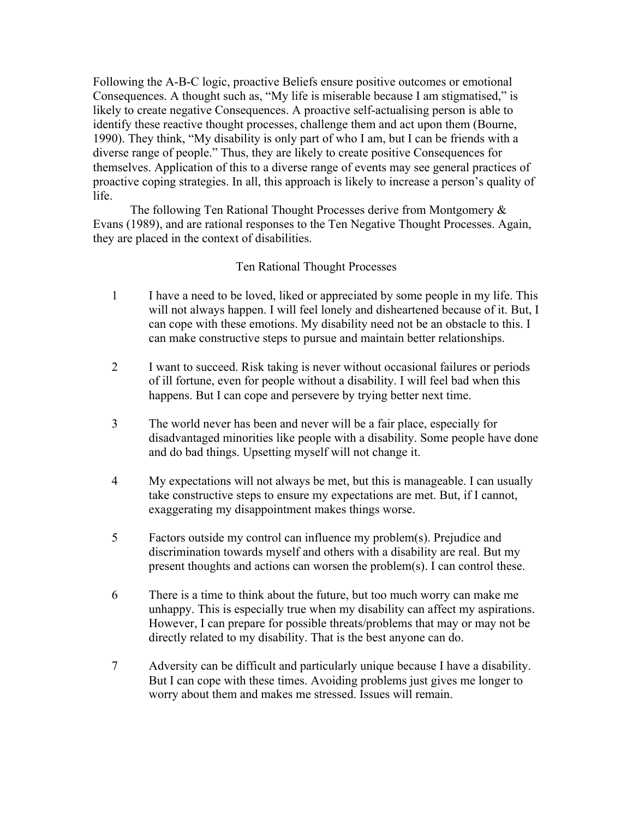Following the A-B-C logic, proactive Beliefs ensure positive outcomes or emotional Consequences. A thought such as, "My life is miserable because I am stigmatised," is likely to create negative Consequences. A proactive self-actualising person is able to identify these reactive thought processes, challenge them and act upon them (Bourne, 1990). They think, "My disability is only part of who I am, but I can be friends with a diverse range of people." Thus, they are likely to create positive Consequences for themselves. Application of this to a diverse range of events may see general practices of proactive coping strategies. In all, this approach is likely to increase a person's quality of life.

The following Ten Rational Thought Processes derive from Montgomery & Evans (1989), and are rational responses to the Ten Negative Thought Processes. Again, they are placed in the context of disabilities.

# Ten Rational Thought Processes

- 1 I have a need to be loved, liked or appreciated by some people in my life. This will not always happen. I will feel lonely and disheartened because of it. But, I can cope with these emotions. My disability need not be an obstacle to this. I can make constructive steps to pursue and maintain better relationships.
- 2 I want to succeed. Risk taking is never without occasional failures or periods of ill fortune, even for people without a disability. I will feel bad when this happens. But I can cope and persevere by trying better next time.
- 3 The world never has been and never will be a fair place, especially for disadvantaged minorities like people with a disability. Some people have done and do bad things. Upsetting myself will not change it.
- 4 My expectations will not always be met, but this is manageable. I can usually take constructive steps to ensure my expectations are met. But, if I cannot, exaggerating my disappointment makes things worse.
- 5 Factors outside my control can influence my problem(s). Prejudice and discrimination towards myself and others with a disability are real. But my present thoughts and actions can worsen the problem(s). I can control these.
- 6 There is a time to think about the future, but too much worry can make me unhappy. This is especially true when my disability can affect my aspirations. However, I can prepare for possible threats/problems that may or may not be directly related to my disability. That is the best anyone can do.
- 7 Adversity can be difficult and particularly unique because I have a disability. But I can cope with these times. Avoiding problems just gives me longer to worry about them and makes me stressed. Issues will remain.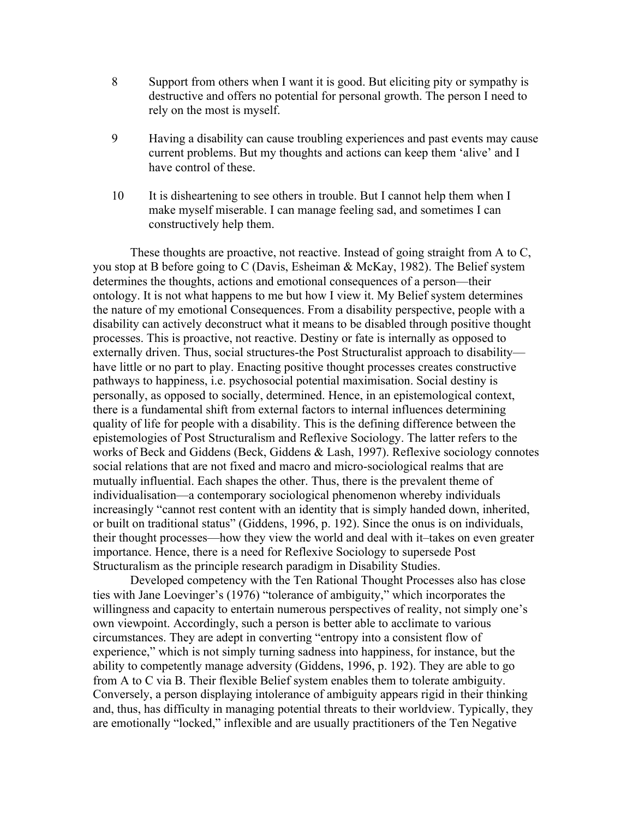- 8 Support from others when I want it is good. But eliciting pity or sympathy is destructive and offers no potential for personal growth. The person I need to rely on the most is myself.
- 9 Having a disability can cause troubling experiences and past events may cause current problems. But my thoughts and actions can keep them 'alive' and I have control of these.
- 10 It is disheartening to see others in trouble. But I cannot help them when I make myself miserable. I can manage feeling sad, and sometimes I can constructively help them.

These thoughts are proactive, not reactive. Instead of going straight from A to C, you stop at B before going to C (Davis, Esheiman & McKay, 1982). The Belief system determines the thoughts, actions and emotional consequences of a person—their ontology. It is not what happens to me but how I view it. My Belief system determines the nature of my emotional Consequences. From a disability perspective, people with a disability can actively deconstruct what it means to be disabled through positive thought processes. This is proactive, not reactive. Destiny or fate is internally as opposed to externally driven. Thus, social structures-the Post Structuralist approach to disability have little or no part to play. Enacting positive thought processes creates constructive pathways to happiness, i.e. psychosocial potential maximisation. Social destiny is personally, as opposed to socially, determined. Hence, in an epistemological context, there is a fundamental shift from external factors to internal influences determining quality of life for people with a disability. This is the defining difference between the epistemologies of Post Structuralism and Reflexive Sociology. The latter refers to the works of Beck and Giddens (Beck, Giddens & Lash, 1997). Reflexive sociology connotes social relations that are not fixed and macro and micro-sociological realms that are mutually influential. Each shapes the other. Thus, there is the prevalent theme of individualisation—a contemporary sociological phenomenon whereby individuals increasingly "cannot rest content with an identity that is simply handed down, inherited, or built on traditional status" (Giddens, 1996, p. 192). Since the onus is on individuals, their thought processes—how they view the world and deal with it–takes on even greater importance. Hence, there is a need for Reflexive Sociology to supersede Post Structuralism as the principle research paradigm in Disability Studies.

Developed competency with the Ten Rational Thought Processes also has close ties with Jane Loevinger's (1976) "tolerance of ambiguity," which incorporates the willingness and capacity to entertain numerous perspectives of reality, not simply one's own viewpoint. Accordingly, such a person is better able to acclimate to various circumstances. They are adept in converting "entropy into a consistent flow of experience," which is not simply turning sadness into happiness, for instance, but the ability to competently manage adversity (Giddens, 1996, p. 192). They are able to go from A to C via B. Their flexible Belief system enables them to tolerate ambiguity. Conversely, a person displaying intolerance of ambiguity appears rigid in their thinking and, thus, has difficulty in managing potential threats to their worldview. Typically, they are emotionally "locked," inflexible and are usually practitioners of the Ten Negative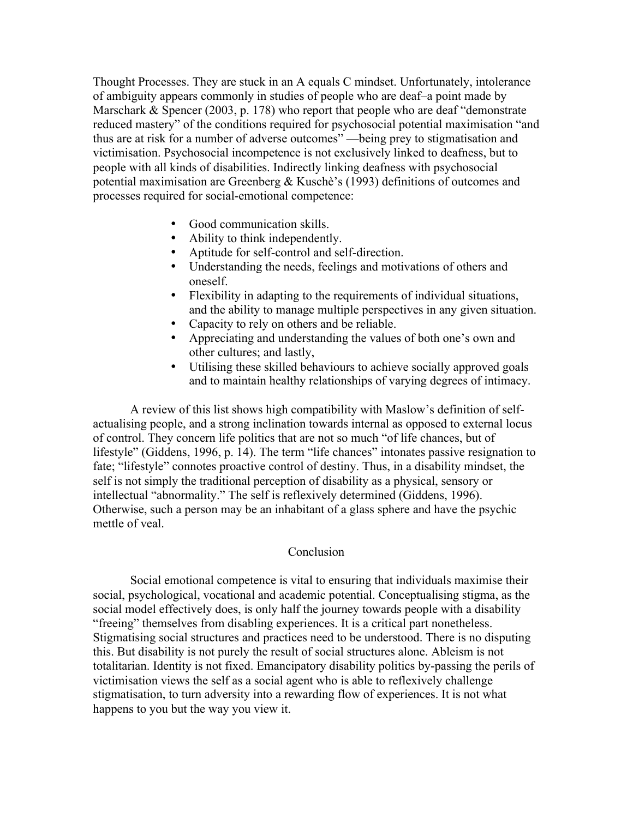Thought Processes. They are stuck in an A equals C mindset. Unfortunately, intolerance of ambiguity appears commonly in studies of people who are deaf–a point made by Marschark & Spencer (2003, p. 178) who report that people who are deaf "demonstrate" reduced mastery" of the conditions required for psychosocial potential maximisation "and thus are at risk for a number of adverse outcomes" —being prey to stigmatisation and victimisation. Psychosocial incompetence is not exclusively linked to deafness, but to people with all kinds of disabilities. Indirectly linking deafness with psychosocial potential maximisation are Greenberg & Kuschè's (1993) definitions of outcomes and processes required for social-emotional competence:

- Good communication skills.
- Ability to think independently.
- Aptitude for self-control and self-direction.
- Understanding the needs, feelings and motivations of others and oneself.
- Flexibility in adapting to the requirements of individual situations, and the ability to manage multiple perspectives in any given situation.
- Capacity to rely on others and be reliable.
- Appreciating and understanding the values of both one's own and other cultures; and lastly,
- Utilising these skilled behaviours to achieve socially approved goals and to maintain healthy relationships of varying degrees of intimacy.

A review of this list shows high compatibility with Maslow's definition of selfactualising people, and a strong inclination towards internal as opposed to external locus of control. They concern life politics that are not so much "of life chances, but of lifestyle" (Giddens, 1996, p. 14). The term "life chances" intonates passive resignation to fate; "lifestyle" connotes proactive control of destiny. Thus, in a disability mindset, the self is not simply the traditional perception of disability as a physical, sensory or intellectual "abnormality." The self is reflexively determined (Giddens, 1996). Otherwise, such a person may be an inhabitant of a glass sphere and have the psychic mettle of veal.

## Conclusion

Social emotional competence is vital to ensuring that individuals maximise their social, psychological, vocational and academic potential. Conceptualising stigma, as the social model effectively does, is only half the journey towards people with a disability "freeing" themselves from disabling experiences. It is a critical part nonetheless. Stigmatising social structures and practices need to be understood. There is no disputing this. But disability is not purely the result of social structures alone. Ableism is not totalitarian. Identity is not fixed. Emancipatory disability politics by-passing the perils of victimisation views the self as a social agent who is able to reflexively challenge stigmatisation, to turn adversity into a rewarding flow of experiences. It is not what happens to you but the way you view it.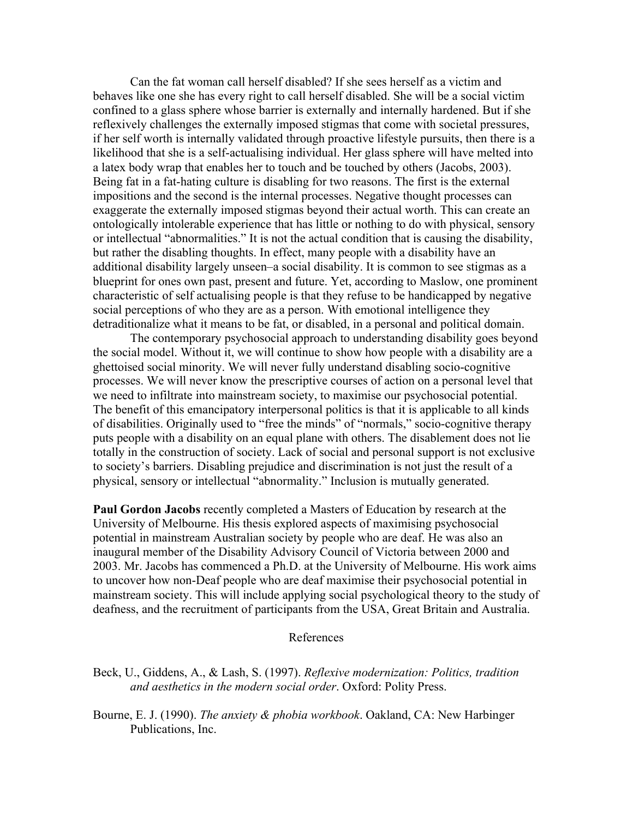Can the fat woman call herself disabled? If she sees herself as a victim and behaves like one she has every right to call herself disabled. She will be a social victim confined to a glass sphere whose barrier is externally and internally hardened. But if she reflexively challenges the externally imposed stigmas that come with societal pressures, if her self worth is internally validated through proactive lifestyle pursuits, then there is a likelihood that she is a self-actualising individual. Her glass sphere will have melted into a latex body wrap that enables her to touch and be touched by others (Jacobs, 2003). Being fat in a fat-hating culture is disabling for two reasons. The first is the external impositions and the second is the internal processes. Negative thought processes can exaggerate the externally imposed stigmas beyond their actual worth. This can create an ontologically intolerable experience that has little or nothing to do with physical, sensory or intellectual "abnormalities." It is not the actual condition that is causing the disability, but rather the disabling thoughts. In effect, many people with a disability have an additional disability largely unseen–a social disability. It is common to see stigmas as a blueprint for ones own past, present and future. Yet, according to Maslow, one prominent characteristic of self actualising people is that they refuse to be handicapped by negative social perceptions of who they are as a person. With emotional intelligence they detraditionalize what it means to be fat, or disabled, in a personal and political domain.

The contemporary psychosocial approach to understanding disability goes beyond the social model. Without it, we will continue to show how people with a disability are a ghettoised social minority. We will never fully understand disabling socio-cognitive processes. We will never know the prescriptive courses of action on a personal level that we need to infiltrate into mainstream society, to maximise our psychosocial potential. The benefit of this emancipatory interpersonal politics is that it is applicable to all kinds of disabilities. Originally used to "free the minds" of "normals," socio-cognitive therapy puts people with a disability on an equal plane with others. The disablement does not lie totally in the construction of society. Lack of social and personal support is not exclusive to society's barriers. Disabling prejudice and discrimination is not just the result of a physical, sensory or intellectual "abnormality." Inclusion is mutually generated.

**Paul Gordon Jacobs** recently completed a Masters of Education by research at the University of Melbourne. His thesis explored aspects of maximising psychosocial potential in mainstream Australian society by people who are deaf. He was also an inaugural member of the Disability Advisory Council of Victoria between 2000 and 2003. Mr. Jacobs has commenced a Ph.D. at the University of Melbourne. His work aims to uncover how non-Deaf people who are deaf maximise their psychosocial potential in mainstream society. This will include applying social psychological theory to the study of deafness, and the recruitment of participants from the USA, Great Britain and Australia.

### References

Beck, U., Giddens, A., & Lash, S. (1997). *Reflexive modernization: Politics, tradition and aesthetics in the modern social order*. Oxford: Polity Press.

Bourne, E. J. (1990). *The anxiety & phobia workbook*. Oakland, CA: New Harbinger Publications, Inc.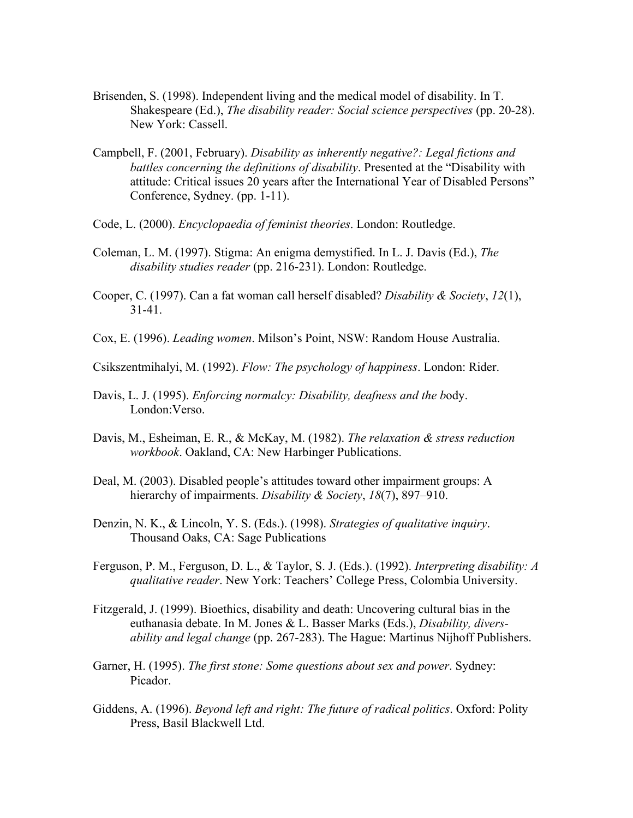- Brisenden, S. (1998). Independent living and the medical model of disability. In T. Shakespeare (Ed.), *The disability reader: Social science perspectives* (pp. 20-28). New York: Cassell.
- Campbell, F. (2001, February). *Disability as inherently negative?: Legal fictions and battles concerning the definitions of disability*. Presented at the "Disability with attitude: Critical issues 20 years after the International Year of Disabled Persons" Conference, Sydney. (pp. 1-11).
- Code, L. (2000). *Encyclopaedia of feminist theories*. London: Routledge.
- Coleman, L. M. (1997). Stigma: An enigma demystified. In L. J. Davis (Ed.), *The disability studies reader* (pp. 216-231). London: Routledge.
- Cooper, C. (1997). Can a fat woman call herself disabled? *Disability & Society*, *12*(1), 31-41.
- Cox, E. (1996). *Leading women*. Milson's Point, NSW: Random House Australia.
- Csikszentmihalyi, M. (1992). *Flow: The psychology of happiness*. London: Rider.
- Davis, L. J. (1995). *Enforcing normalcy: Disability, deafness and the b*ody. London:Verso.
- Davis, M., Esheiman, E. R., & McKay, M. (1982). *The relaxation & stress reduction workbook*. Oakland, CA: New Harbinger Publications.
- Deal, M. (2003). Disabled people's attitudes toward other impairment groups: A hierarchy of impairments. *Disability & Society*, *18*(7), 897–910.
- Denzin, N. K., & Lincoln, Y. S. (Eds.). (1998). *Strategies of qualitative inquiry*. Thousand Oaks, CA: Sage Publications
- Ferguson, P. M., Ferguson, D. L., & Taylor, S. J. (Eds.). (1992). *Interpreting disability: A qualitative reader*. New York: Teachers' College Press, Colombia University.
- Fitzgerald, J. (1999). Bioethics, disability and death: Uncovering cultural bias in the euthanasia debate. In M. Jones & L. Basser Marks (Eds.), *Disability, diversability and legal change* (pp. 267-283). The Hague: Martinus Nijhoff Publishers.
- Garner, H. (1995). *The first stone: Some questions about sex and power*. Sydney: Picador.
- Giddens, A. (1996). *Beyond left and right: The future of radical politics*. Oxford: Polity Press, Basil Blackwell Ltd.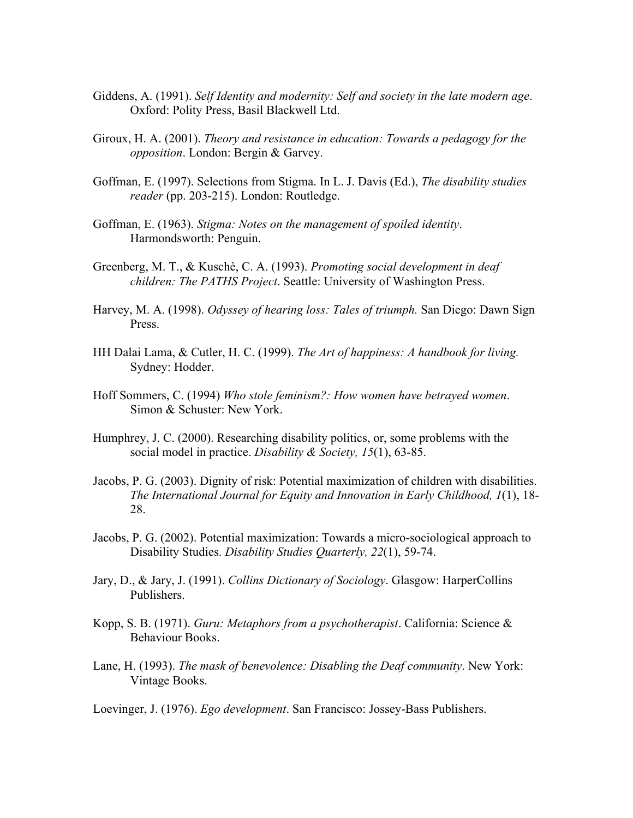- Giddens, A. (1991). *Self Identity and modernity: Self and society in the late modern age*. Oxford: Polity Press, Basil Blackwell Ltd.
- Giroux, H. A. (2001). *Theory and resistance in education: Towards a pedagogy for the opposition*. London: Bergin & Garvey.
- Goffman, E. (1997). Selections from Stigma. In L. J. Davis (Ed.), *The disability studies reader* (pp. 203-215). London: Routledge.
- Goffman, E. (1963). *Stigma: Notes on the management of spoiled identity*. Harmondsworth: Penguin.
- Greenberg, M. T., & Kuschè, C. A. (1993). *Promoting social development in deaf children: The PATHS Project*. Seattle: University of Washington Press.
- Harvey, M. A. (1998). *Odyssey of hearing loss: Tales of triumph.* San Diego: Dawn Sign Press.
- HH Dalai Lama, & Cutler, H. C. (1999). *The Art of happiness: A handbook for living.* Sydney: Hodder.
- Hoff Sommers, C. (1994) *Who stole feminism?: How women have betrayed women*. Simon & Schuster: New York.
- Humphrey, J. C. (2000). Researching disability politics, or, some problems with the social model in practice. *Disability & Society, 15*(1), 63-85.
- Jacobs, P. G. (2003). Dignity of risk: Potential maximization of children with disabilities. *The International Journal for Equity and Innovation in Early Childhood, 1*(1), 18- 28.
- Jacobs, P. G. (2002). Potential maximization: Towards a micro-sociological approach to Disability Studies. *Disability Studies Quarterly, 22*(1), 59-74.
- Jary, D., & Jary, J. (1991). *Collins Dictionary of Sociology*. Glasgow: HarperCollins Publishers.
- Kopp, S. B. (1971). *Guru: Metaphors from a psychotherapist*. California: Science & Behaviour Books.
- Lane, H. (1993). *The mask of benevolence: Disabling the Deaf community*. New York: Vintage Books.
- Loevinger, J. (1976). *Ego development*. San Francisco: Jossey-Bass Publishers.